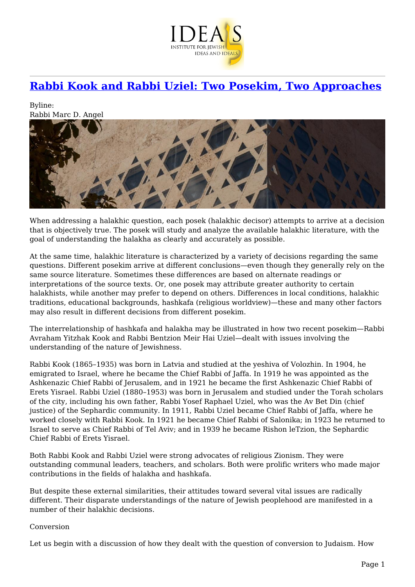

## **[Rabbi Kook and Rabbi Uziel: Two Posekim, Two Approaches](https://www.jewishideas.org/article/rabbi-kook-and-rabbi-uziel-two-posekim-two-approaches-0)**

Byline: Rabbi Marc D. Angel



When addressing a halakhic question, each posek (halakhic decisor) attempts to arrive at a decision that is objectively true. The posek will study and analyze the available halakhic literature, with the goal of understanding the halakha as clearly and accurately as possible.

At the same time, halakhic literature is characterized by a variety of decisions regarding the same questions. Different posekim arrive at different conclusions—even though they generally rely on the same source literature. Sometimes these differences are based on alternate readings or interpretations of the source texts. Or, one posek may attribute greater authority to certain halakhists, while another may prefer to depend on others. Differences in local conditions, halakhic traditions, educational backgrounds, hashkafa (religious worldview)—these and many other factors may also result in different decisions from different posekim.

The interrelationship of hashkafa and halakha may be illustrated in how two recent posekim—Rabbi Avraham Yitzhak Kook and Rabbi Bentzion Meir Hai Uziel—dealt with issues involving the understanding of the nature of Jewishness.

Rabbi Kook (1865–1935) was born in Latvia and studied at the yeshiva of Volozhin. In 1904, he emigrated to Israel, where he became the Chief Rabbi of Jaffa. In 1919 he was appointed as the Ashkenazic Chief Rabbi of Jerusalem, and in 1921 he became the first Ashkenazic Chief Rabbi of Erets Yisrael. Rabbi Uziel (1880–1953) was born in Jerusalem and studied under the Torah scholars of the city, including his own father, Rabbi Yosef Raphael Uziel, who was the Av Bet Din (chief justice) of the Sephardic community. In 1911, Rabbi Uziel became Chief Rabbi of Jaffa, where he worked closely with Rabbi Kook. In 1921 he became Chief Rabbi of Salonika; in 1923 he returned to Israel to serve as Chief Rabbi of Tel Aviv; and in 1939 he became Rishon leTzion, the Sephardic Chief Rabbi of Erets Yisrael.

Both Rabbi Kook and Rabbi Uziel were strong advocates of religious Zionism. They were outstanding communal leaders, teachers, and scholars. Both were prolific writers who made major contributions in the fields of halakha and hashkafa.

But despite these external similarities, their attitudes toward several vital issues are radically different. Their disparate understandings of the nature of Jewish peoplehood are manifested in a number of their halakhic decisions.

## Conversion

Let us begin with a discussion of how they dealt with the question of conversion to Judaism. How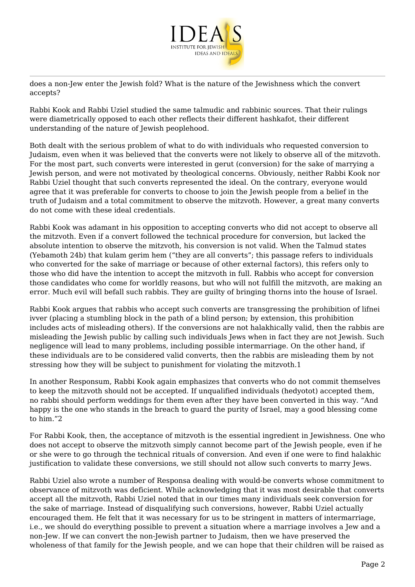

does a non-Jew enter the Jewish fold? What is the nature of the Jewishness which the convert accepts?

Rabbi Kook and Rabbi Uziel studied the same talmudic and rabbinic sources. That their rulings were diametrically opposed to each other reflects their different hashkafot, their different understanding of the nature of Jewish peoplehood.

Both dealt with the serious problem of what to do with individuals who requested conversion to Judaism, even when it was believed that the converts were not likely to observe all of the mitzvoth. For the most part, such converts were interested in gerut (conversion) for the sake of marrying a Jewish person, and were not motivated by theological concerns. Obviously, neither Rabbi Kook nor Rabbi Uziel thought that such converts represented the ideal. On the contrary, everyone would agree that it was preferable for converts to choose to join the Jewish people from a belief in the truth of Judaism and a total commitment to observe the mitzvoth. However, a great many converts do not come with these ideal credentials.

Rabbi Kook was adamant in his opposition to accepting converts who did not accept to observe all the mitzvoth. Even if a convert followed the technical procedure for conversion, but lacked the absolute intention to observe the mitzvoth, his conversion is not valid. When the Talmud states (Yebamoth 24b) that kulam gerim hem ("they are all converts"; this passage refers to individuals who converted for the sake of marriage or because of other external factors), this refers only to those who did have the intention to accept the mitzvoth in full. Rabbis who accept for conversion those candidates who come for worldly reasons, but who will not fulfill the mitzvoth, are making an error. Much evil will befall such rabbis. They are guilty of bringing thorns into the house of Israel.

Rabbi Kook argues that rabbis who accept such converts are transgressing the prohibition of lifnei ivver (placing a stumbling block in the path of a blind person; by extension, this prohibition includes acts of misleading others). If the conversions are not halakhically valid, then the rabbis are misleading the Jewish public by calling such individuals Jews when in fact they are not Jewish. Such negligence will lead to many problems, including possible intermarriage. On the other hand, if these individuals are to be considered valid converts, then the rabbis are misleading them by not stressing how they will be subject to punishment for violating the mitzvoth.1

In another Responsum, Rabbi Kook again emphasizes that converts who do not commit themselves to keep the mitzvoth should not be accepted. If unqualified individuals (hedyotot) accepted them, no rabbi should perform weddings for them even after they have been converted in this way. "And happy is the one who stands in the breach to guard the purity of Israel, may a good blessing come to him."2

For Rabbi Kook, then, the acceptance of mitzvoth is the essential ingredient in Jewishness. One who does not accept to observe the mitzvoth simply cannot become part of the Jewish people, even if he or she were to go through the technical rituals of conversion. And even if one were to find halakhic justification to validate these conversions, we still should not allow such converts to marry Jews.

Rabbi Uziel also wrote a number of Responsa dealing with would-be converts whose commitment to observance of mitzvoth was deficient. While acknowledging that it was most desirable that converts accept all the mitzvoth, Rabbi Uziel noted that in our times many individuals seek conversion for the sake of marriage. Instead of disqualifying such conversions, however, Rabbi Uziel actually encouraged them. He felt that it was necessary for us to be stringent in matters of intermarriage, i.e., we should do everything possible to prevent a situation where a marriage involves a Jew and a non-Jew. If we can convert the non-Jewish partner to Judaism, then we have preserved the wholeness of that family for the Jewish people, and we can hope that their children will be raised as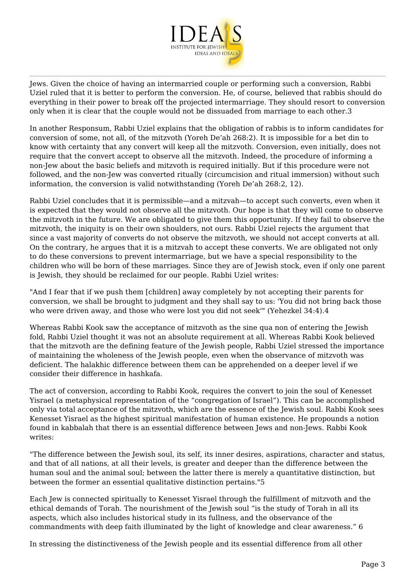

Jews. Given the choice of having an intermarried couple or performing such a conversion, Rabbi Uziel ruled that it is better to perform the conversion. He, of course, believed that rabbis should do everything in their power to break off the projected intermarriage. They should resort to conversion only when it is clear that the couple would not be dissuaded from marriage to each other.3

In another Responsum, Rabbi Uziel explains that the obligation of rabbis is to inform candidates for conversion of some, not all, of the mitzvoth (Yoreh De'ah 268:2). It is impossible for a bet din to know with certainty that any convert will keep all the mitzvoth. Conversion, even initially, does not require that the convert accept to observe all the mitzvoth. Indeed, the procedure of informing a non-Jew about the basic beliefs and mitzvoth is required initially. But if this procedure were not followed, and the non-Jew was converted ritually (circumcision and ritual immersion) without such information, the conversion is valid notwithstanding (Yoreh De'ah 268:2, 12).

Rabbi Uziel concludes that it is permissible—and a mitzvah—to accept such converts, even when it is expected that they would not observe all the mitzvoth. Our hope is that they will come to observe the mitzvoth in the future. We are obligated to give them this opportunity. If they fail to observe the mitzvoth, the iniquity is on their own shoulders, not ours. Rabbi Uziel rejects the argument that since a vast majority of converts do not observe the mitzvoth, we should not accept converts at all. On the contrary, he argues that it is a mitzvah to accept these converts. We are obligated not only to do these conversions to prevent intermarriage, but we have a special responsibility to the children who will be born of these marriages. Since they are of Jewish stock, even if only one parent is Jewish, they should be reclaimed for our people. Rabbi Uziel writes:

"And I fear that if we push them [children] away completely by not accepting their parents for conversion, we shall be brought to judgment and they shall say to us: 'You did not bring back those who were driven away, and those who were lost you did not seek'" (Yehezkel 34:4).4

Whereas Rabbi Kook saw the acceptance of mitzvoth as the sine qua non of entering the Jewish fold, Rabbi Uziel thought it was not an absolute requirement at all. Whereas Rabbi Kook believed that the mitzvoth are the defining feature of the Jewish people, Rabbi Uziel stressed the importance of maintaining the wholeness of the Jewish people, even when the observance of mitzvoth was deficient. The halakhic difference between them can be apprehended on a deeper level if we consider their difference in hashkafa.

The act of conversion, according to Rabbi Kook, requires the convert to join the soul of Kenesset Yisrael (a metaphysical representation of the "congregation of Israel"). This can be accomplished only via total acceptance of the mitzvoth, which are the essence of the Jewish soul. Rabbi Kook sees Kenesset Yisrael as the highest spiritual manifestation of human existence. He propounds a notion found in kabbalah that there is an essential difference between Jews and non-Jews. Rabbi Kook writes:

"The difference between the Jewish soul, its self, its inner desires, aspirations, character and status, and that of all nations, at all their levels, is greater and deeper than the difference between the human soul and the animal soul; between the latter there is merely a quantitative distinction, but between the former an essential qualitative distinction pertains."5

Each Jew is connected spiritually to Kenesset Yisrael through the fulfillment of mitzvoth and the ethical demands of Torah. The nourishment of the Jewish soul "is the study of Torah in all its aspects, which also includes historical study in its fullness, and the observance of the commandments with deep faith illuminated by the light of knowledge and clear awareness." 6

In stressing the distinctiveness of the Jewish people and its essential difference from all other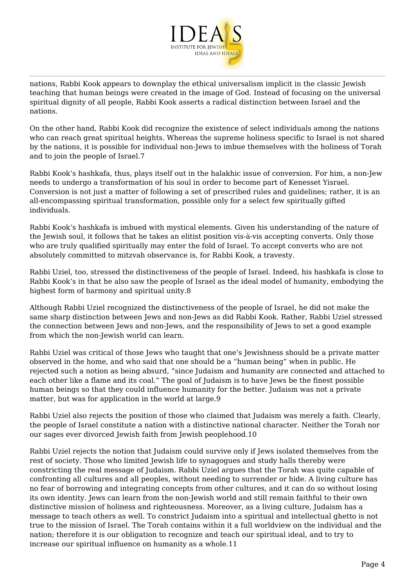

nations, Rabbi Kook appears to downplay the ethical universalism implicit in the classic Jewish teaching that human beings were created in the image of God. Instead of focusing on the universal spiritual dignity of all people, Rabbi Kook asserts a radical distinction between Israel and the nations.

On the other hand, Rabbi Kook did recognize the existence of select individuals among the nations who can reach great spiritual heights. Whereas the supreme holiness specific to Israel is not shared by the nations, it is possible for individual non-Jews to imbue themselves with the holiness of Torah and to join the people of Israel.7

Rabbi Kook's hashkafa, thus, plays itself out in the halakhic issue of conversion. For him, a non-Jew needs to undergo a transformation of his soul in order to become part of Kenesset Yisrael. Conversion is not just a matter of following a set of prescribed rules and guidelines; rather, it is an all-encompassing spiritual transformation, possible only for a select few spiritually gifted individuals.

Rabbi Kook's hashkafa is imbued with mystical elements. Given his understanding of the nature of the Jewish soul, it follows that he takes an elitist position vis-à-vis accepting converts. Only those who are truly qualified spiritually may enter the fold of Israel. To accept converts who are not absolutely committed to mitzvah observance is, for Rabbi Kook, a travesty.

Rabbi Uziel, too, stressed the distinctiveness of the people of Israel. Indeed, his hashkafa is close to Rabbi Kook's in that he also saw the people of Israel as the ideal model of humanity, embodying the highest form of harmony and spiritual unity.8

Although Rabbi Uziel recognized the distinctiveness of the people of Israel, he did not make the same sharp distinction between Jews and non-Jews as did Rabbi Kook. Rather, Rabbi Uziel stressed the connection between Jews and non-Jews, and the responsibility of Jews to set a good example from which the non-Jewish world can learn.

Rabbi Uziel was critical of those Jews who taught that one's Jewishness should be a private matter observed in the home, and who said that one should be a "human being" when in public. He rejected such a notion as being absurd, "since Judaism and humanity are connected and attached to each other like a flame and its coal." The goal of Judaism is to have Jews be the finest possible human beings so that they could influence humanity for the better. Judaism was not a private matter, but was for application in the world at large.9

Rabbi Uziel also rejects the position of those who claimed that Judaism was merely a faith. Clearly, the people of Israel constitute a nation with a distinctive national character. Neither the Torah nor our sages ever divorced Jewish faith from Jewish peoplehood.10

Rabbi Uziel rejects the notion that Judaism could survive only if Jews isolated themselves from the rest of society. Those who limited Jewish life to synagogues and study halls thereby were constricting the real message of Judaism. Rabbi Uziel argues that the Torah was quite capable of confronting all cultures and all peoples, without needing to surrender or hide. A living culture has no fear of borrowing and integrating concepts from other cultures, and it can do so without losing its own identity. Jews can learn from the non-Jewish world and still remain faithful to their own distinctive mission of holiness and righteousness. Moreover, as a living culture, Judaism has a message to teach others as well. To constrict Judaism into a spiritual and intellectual ghetto is not true to the mission of Israel. The Torah contains within it a full worldview on the individual and the nation; therefore it is our obligation to recognize and teach our spiritual ideal, and to try to increase our spiritual influence on humanity as a whole.11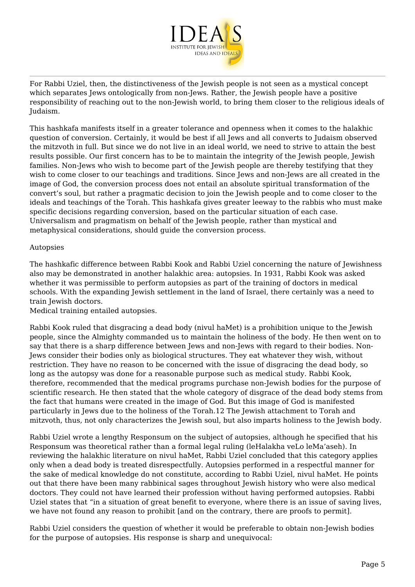

For Rabbi Uziel, then, the distinctiveness of the Jewish people is not seen as a mystical concept which separates Jews ontologically from non-Jews. Rather, the Jewish people have a positive responsibility of reaching out to the non-Jewish world, to bring them closer to the religious ideals of Judaism.

This hashkafa manifests itself in a greater tolerance and openness when it comes to the halakhic question of conversion. Certainly, it would be best if all Jews and all converts to Judaism observed the mitzvoth in full. But since we do not live in an ideal world, we need to strive to attain the best results possible. Our first concern has to be to maintain the integrity of the Jewish people, Jewish families. Non-Jews who wish to become part of the Jewish people are thereby testifying that they wish to come closer to our teachings and traditions. Since Jews and non-Jews are all created in the image of God, the conversion process does not entail an absolute spiritual transformation of the convert's soul, but rather a pragmatic decision to join the Jewish people and to come closer to the ideals and teachings of the Torah. This hashkafa gives greater leeway to the rabbis who must make specific decisions regarding conversion, based on the particular situation of each case. Universalism and pragmatism on behalf of the Jewish people, rather than mystical and metaphysical considerations, should guide the conversion process.

## Autopsies

The hashkafic difference between Rabbi Kook and Rabbi Uziel concerning the nature of Jewishness also may be demonstrated in another halakhic area: autopsies. In 1931, Rabbi Kook was asked whether it was permissible to perform autopsies as part of the training of doctors in medical schools. With the expanding Jewish settlement in the land of Israel, there certainly was a need to train Jewish doctors.

Medical training entailed autopsies.

Rabbi Kook ruled that disgracing a dead body (nivul haMet) is a prohibition unique to the Jewish people, since the Almighty commanded us to maintain the holiness of the body. He then went on to say that there is a sharp difference between Jews and non-Jews with regard to their bodies. Non-Jews consider their bodies only as biological structures. They eat whatever they wish, without restriction. They have no reason to be concerned with the issue of disgracing the dead body, so long as the autopsy was done for a reasonable purpose such as medical study. Rabbi Kook, therefore, recommended that the medical programs purchase non-Jewish bodies for the purpose of scientific research. He then stated that the whole category of disgrace of the dead body stems from the fact that humans were created in the image of God. But this image of God is manifested particularly in Jews due to the holiness of the Torah.12 The Jewish attachment to Torah and mitzvoth, thus, not only characterizes the Jewish soul, but also imparts holiness to the Jewish body.

Rabbi Uziel wrote a lengthy Responsum on the subject of autopsies, although he specified that his Responsum was theoretical rather than a formal legal ruling (leHalakha veLo leMa'aseh). In reviewing the halakhic literature on nivul haMet, Rabbi Uziel concluded that this category applies only when a dead body is treated disrespectfully. Autopsies performed in a respectful manner for the sake of medical knowledge do not constitute, according to Rabbi Uziel, nivul haMet. He points out that there have been many rabbinical sages throughout Jewish history who were also medical doctors. They could not have learned their profession without having performed autopsies. Rabbi Uziel states that "in a situation of great benefit to everyone, where there is an issue of saving lives, we have not found any reason to prohibit [and on the contrary, there are proofs to permit].

Rabbi Uziel considers the question of whether it would be preferable to obtain non-Jewish bodies for the purpose of autopsies. His response is sharp and unequivocal: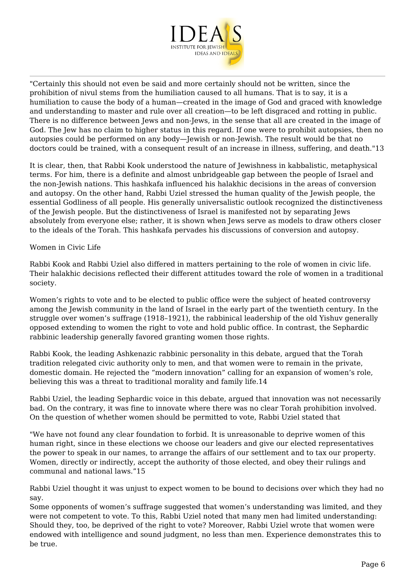

"Certainly this should not even be said and more certainly should not be written, since the prohibition of nivul stems from the humiliation caused to all humans. That is to say, it is a humiliation to cause the body of a human—created in the image of God and graced with knowledge and understanding to master and rule over all creation—to be left disgraced and rotting in public. There is no difference between Jews and non-Jews, in the sense that all are created in the image of God. The Jew has no claim to higher status in this regard. If one were to prohibit autopsies, then no autopsies could be performed on any body—Jewish or non-Jewish. The result would be that no doctors could be trained, with a consequent result of an increase in illness, suffering, and death."13

It is clear, then, that Rabbi Kook understood the nature of Jewishness in kabbalistic, metaphysical terms. For him, there is a definite and almost unbridgeable gap between the people of Israel and the non-Jewish nations. This hashkafa influenced his halakhic decisions in the areas of conversion and autopsy. On the other hand, Rabbi Uziel stressed the human quality of the Jewish people, the essential Godliness of all people. His generally universalistic outlook recognized the distinctiveness of the Jewish people. But the distinctiveness of Israel is manifested not by separating Jews absolutely from everyone else; rather, it is shown when Jews serve as models to draw others closer to the ideals of the Torah. This hashkafa pervades his discussions of conversion and autopsy.

Women in Civic Life

Rabbi Kook and Rabbi Uziel also differed in matters pertaining to the role of women in civic life. Their halakhic decisions reflected their different attitudes toward the role of women in a traditional society.

Women's rights to vote and to be elected to public office were the subject of heated controversy among the Jewish community in the land of Israel in the early part of the twentieth century. In the struggle over women's suffrage (1918–1921), the rabbinical leadership of the old Yishuv generally opposed extending to women the right to vote and hold public office. In contrast, the Sephardic rabbinic leadership generally favored granting women those rights.

Rabbi Kook, the leading Ashkenazic rabbinic personality in this debate, argued that the Torah tradition relegated civic authority only to men, and that women were to remain in the private, domestic domain. He rejected the "modern innovation" calling for an expansion of women's role, believing this was a threat to traditional morality and family life.14

Rabbi Uziel, the leading Sephardic voice in this debate, argued that innovation was not necessarily bad. On the contrary, it was fine to innovate where there was no clear Torah prohibition involved. On the question of whether women should be permitted to vote, Rabbi Uziel stated that

"We have not found any clear foundation to forbid. It is unreasonable to deprive women of this human right, since in these elections we choose our leaders and give our elected representatives the power to speak in our names, to arrange the affairs of our settlement and to tax our property. Women, directly or indirectly, accept the authority of those elected, and obey their rulings and communal and national laws."15

Rabbi Uziel thought it was unjust to expect women to be bound to decisions over which they had no say.

Some opponents of women's suffrage suggested that women's understanding was limited, and they were not competent to vote. To this, Rabbi Uziel noted that many men had limited understanding: Should they, too, be deprived of the right to vote? Moreover, Rabbi Uziel wrote that women were endowed with intelligence and sound judgment, no less than men. Experience demonstrates this to be true.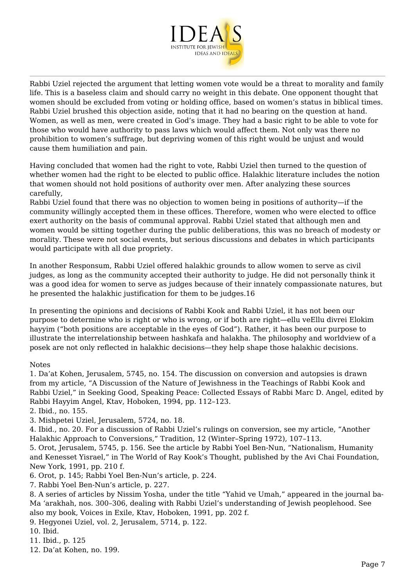

Rabbi Uziel rejected the argument that letting women vote would be a threat to morality and family life. This is a baseless claim and should carry no weight in this debate. One opponent thought that women should be excluded from voting or holding office, based on women's status in biblical times. Rabbi Uziel brushed this objection aside, noting that it had no bearing on the question at hand. Women, as well as men, were created in God's image. They had a basic right to be able to vote for those who would have authority to pass laws which would affect them. Not only was there no prohibition to women's suffrage, but depriving women of this right would be unjust and would cause them humiliation and pain.

Having concluded that women had the right to vote, Rabbi Uziel then turned to the question of whether women had the right to be elected to public office. Halakhic literature includes the notion that women should not hold positions of authority over men. After analyzing these sources carefully,

Rabbi Uziel found that there was no objection to women being in positions of authority—if the community willingly accepted them in these offices. Therefore, women who were elected to office exert authority on the basis of communal approval. Rabbi Uziel stated that although men and women would be sitting together during the public deliberations, this was no breach of modesty or morality. These were not social events, but serious discussions and debates in which participants would participate with all due propriety.

In another Responsum, Rabbi Uziel offered halakhic grounds to allow women to serve as civil judges, as long as the community accepted their authority to judge. He did not personally think it was a good idea for women to serve as judges because of their innately compassionate natures, but he presented the halakhic justification for them to be judges.16

In presenting the opinions and decisions of Rabbi Kook and Rabbi Uziel, it has not been our purpose to determine who is right or who is wrong, or if both are right—ellu veEllu divrei Elokim hayyim ("both positions are acceptable in the eyes of God"). Rather, it has been our purpose to illustrate the interrelationship between hashkafa and halakha. The philosophy and worldview of a posek are not only reflected in halakhic decisions—they help shape those halakhic decisions.

## Notes

1. Da'at Kohen, Jerusalem, 5745, no. 154. The discussion on conversion and autopsies is drawn from my article, "A Discussion of the Nature of Jewishness in the Teachings of Rabbi Kook and Rabbi Uziel," in Seeking Good, Speaking Peace: Collected Essays of Rabbi Marc D. Angel, edited by Rabbi Hayyim Angel, Ktav, Hoboken, 1994, pp. 112–123.

2. Ibid., no. 155.

3. Mishpetei Uziel, Jerusalem, 5724, no. 18.

4. Ibid., no. 20. For a discussion of Rabbi Uziel's rulings on conversion, see my article, "Another Halakhic Approach to Conversions," Tradition, 12 (Winter–Spring 1972), 107–113.

5. Orot, Jerusalem, 5745, p. 156. See the article by Rabbi Yoel Ben-Nun, "Nationalism, Humanity and Kenesset Yisrael," in The World of Ray Kook's Thought, published by the Avi Chai Foundation, New York, 1991, pp. 210 f.

6. Orot, p. 145; Rabbi Yoel Ben-Nun's article, p. 224.

7. Rabbi Yoel Ben-Nun's article, p. 227.

8. A series of articles by Nissim Yosha, under the title "Yahid ve Umah," appeared in the journal ba-Ma 'arakhah, nos. 300–306, dealing with Rabbi Uziel's understanding of Jewish peoplehood. See also my book, Voices in Exile, Ktav, Hoboken, 1991, pp. 202 f.

9. Hegyonei Uziel, vol. 2, Jerusalem, 5714, p. 122.

10. Ibid.

11. Ibid., p. 125

12. Da'at Kohen, no. 199.